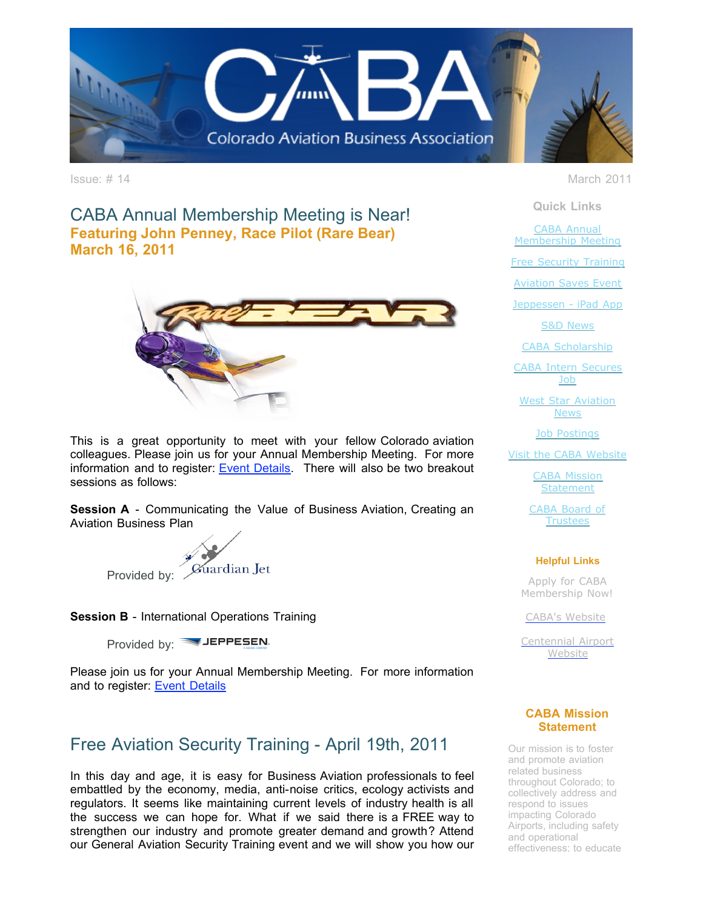

CABA Annual Membership Meeting is Near! **Featuring John Penney, Race Pilot (Rare Bear) March 16, 2011**



This is a great opportunity to meet with your fellow Colorado aviation colleagues. Please join us for your Annual Membership Meeting. For more information and to register: **[Event Details](http://r20.rs6.net/tn.jsp?llr=tkebgpcab&et=1104556861949&s=0&e=001enOPs0tsTpdow8ducWqM8qJKWDczB3WJTO8sTK4hga-TvZ_DMda20QMx3hfgJyxsnqO3URKrnwSY6W7E9_97q4E1x4gwXXFd00qZgfKczuOEtk8ZHFJmU5Vx5aK-d_5bLFhmeq4XsVa3qxlZCuG1Qp3QNQqO5hRvfoYiY4NgamECnWgltDlJTkxKuNRDplSb)**. There will also be two breakout sessions as follows:

**Session A** - Communicating the Value of Business Aviation, Creating an Aviation Business Plan



**Session B** - International Operations Training

Provided by: **WHEPPESEN**.

Please join us for your Annual Membership Meeting. For more information and to register: **[Event Details](http://r20.rs6.net/tn.jsp?llr=tkebgpcab&et=1104556861949&s=0&e=001enOPs0tsTpdow8ducWqM8qJKWDczB3WJTO8sTK4hga-TvZ_DMda20QMx3hfgJyxsnqO3URKrnwSY6W7E9_97q4E1x4gwXXFd00qZgfKczuOEtk8ZHFJmU5Vx5aK-d_5bLFhmeq4XsVa3qxlZCuG1Qp3QNQqO5hRvfoYiY4NgamECnWgltDlJTkxKuNRDplSb)** 

# Free Aviation Security Training - April 19th, 2011

In this day and age, it is easy for Business Aviation professionals to feel embattled by the economy, media, anti-noise critics, ecology activists and regulators. It seems like maintaining current levels of industry health is all the success we can hope for. What if we said there is a FREE way to strengthen our industry and promote greater demand and growth? Attend our General Aviation Security Training event and we will show you how our

Issue: # 14 March 2011

**Quick Links**

CABA Annual [Membership Meeting](https://ui.constantcontact.com/visualeditor/visual_editor_preview.jsp?agent.uid=1104556861949&format=html&printFrame=true#LETTER.BLOCK4)

[Free Security Training](https://ui.constantcontact.com/visualeditor/visual_editor_preview.jsp?agent.uid=1104556861949&format=html&printFrame=true#LETTER.BLOCK14)

**[Aviation Saves Event](https://ui.constantcontact.com/visualeditor/visual_editor_preview.jsp?agent.uid=1104556861949&format=html&printFrame=true#LETTER.BLOCK6)** 

[Jeppessen - iPad App](https://ui.constantcontact.com/visualeditor/visual_editor_preview.jsp?agent.uid=1104556861949&format=html&printFrame=true#LETTER.BLOCK30)

[S&D News](https://ui.constantcontact.com/visualeditor/visual_editor_preview.jsp?agent.uid=1104556861949&format=html&printFrame=true#LETTER.BLOCK10)

[CABA Scholarship](https://ui.constantcontact.com/visualeditor/visual_editor_preview.jsp?agent.uid=1104556861949&format=html&printFrame=true#LETTER.BLOCK34)

[CABA Intern Secures](https://ui.constantcontact.com/visualeditor/visual_editor_preview.jsp?agent.uid=1104556861949&format=html&printFrame=true#LETTER.BLOCK12) Job

[West Star Aviation](https://ui.constantcontact.com/visualeditor/visual_editor_preview.jsp?agent.uid=1104556861949&format=html&printFrame=true#LETTER.BLOCK33) **News** 

[Job Postings](https://ui.constantcontact.com/visualeditor/visual_editor_preview.jsp?agent.uid=1104556861949&format=html&printFrame=true#LETTER.BLOCK16)

[Visit the CABA Website](https://ui.constantcontact.com/visualeditor/visual_editor_preview.jsp?agent.uid=1104556861949&format=html&printFrame=true#LETTER.BLOCK18)

[CABA Mission](https://ui.constantcontact.com/visualeditor/visual_editor_preview.jsp?agent.uid=1104556861949&format=html&printFrame=true#LETTER.BLOCK25) **Statement** 

[CABA Board of](https://ui.constantcontact.com/visualeditor/visual_editor_preview.jsp?agent.uid=1104556861949&format=html&printFrame=true#LETTER.BLOCK27) **Trustees** 

### **Helpful Links**

Apply for CABA [Membership Now!](http://r20.rs6.net/tn.jsp?llr=tkebgpcab&et=1104556861949&s=0&e=001enOPs0tsTpdow8ducWqM8qJKWDczB3WJTO8sTK4hga-TvZ_DMda20QMx3hfgJyxsnqO3URKrnwSY6W7E9_97q4E1x4gwXXFd00qZgfKczuNGbAeBVpUSA5Yvdt92R7x8Fi7POZg4wf7mUvCClqyutg==)

[CABA's Website](http://r20.rs6.net/tn.jsp?llr=tkebgpcab&et=1104556861949&s=0&e=001enOPs0tsTpdow8ducWqM8qJKWDczB3WJTO8sTK4hga-TvZ_DMda20QMx3hfgJyxsnqO3URKrnwSY6W7E9_97q4E1x4gwXXFd00qZgfKczuN87x45XQNwNA==)

[Centennial Airport](http://r20.rs6.net/tn.jsp?llr=tkebgpcab&et=1104556861949&s=0&e=001enOPs0tsTpdow8ducWqM8qJKWDczB3WJTO8sTK4hga-TvZ_DMda20QMx3hfgJyxsnqO3URKrnwSY6W7E9_97q8ZfE4d27xFVZfOV7SeSNIuyzaDTAcTcEKhmmEZ-3S3M) **Website** 

### **CABA Mission Statement**

Our mission is to foster and promote aviation related business throughout Colorado; to collectively address and respond to issues impacting Colorado Airports, including safety and operational effectiveness; to educate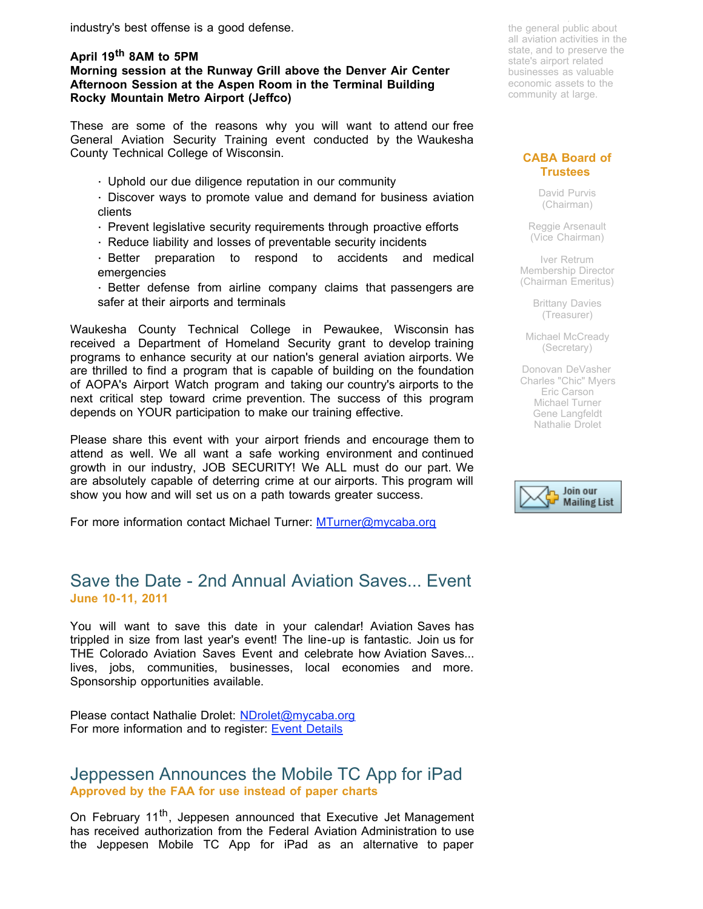industry's best offense is a good defense.

### **April 19th 8AM to 5PM Morning session at the Runway Grill above the Denver Air Center Afternoon Session at the Aspen Room in the Terminal Building Rocky Mountain Metro Airport (Jeffco)**

These are some of the reasons why you will want to attend our free General Aviation Security Training event conducted by the Waukesha County Technical College of Wisconsin.

· Uphold our due diligence reputation in our community

· Discover ways to promote value and demand for business aviation clients

- · Prevent legislative security requirements through proactive efforts
- · Reduce liability and losses of preventable security incidents

· Better preparation to respond to accidents and medical emergencies

· Better defense from airline company claims that passengers are safer at their airports and terminals

Waukesha County Technical College in Pewaukee, Wisconsin has received a Department of Homeland Security grant to develop training programs to enhance security at our nation's general aviation airports. We are thrilled to find a program that is capable of building on the foundation of AOPA's Airport Watch program and taking our country's airports to the next critical step toward crime prevention. The success of this program depends on YOUR participation to make our training effective.

Please share this event with your airport friends and encourage them to attend as well. We all want a safe working environment and continued growth in our industry, JOB SECURITY! We ALL must do our part. We are absolutely capable of deterring crime at our airports. This program will show you how and will set us on a path towards greater success.

For more information contact Michael Turner: [MTurner@mycaba.org](mailto:MTurner@mycaba.org)

## Save the Date - 2nd Annual Aviation Saves... Event **June 10-11, 2011**

You will want to save this date in your calendar! Aviation Saves has trippled in size from last year's event! The line-up is fantastic. Join us for THE Colorado Aviation Saves Event and celebrate how Aviation Saves... lives, jobs, communities, businesses, local economies and more. Sponsorship opportunities available.

Please contact Nathalie Drolet: [NDrolet@mycaba.org](mailto:ndrolet@mycaba.org) For more information and to register: **Event Details** 

### Jeppessen Announces the Mobile TC App for iPad **Approved by the FAA for use instead of paper charts**

On February 11<sup>th</sup>, Jeppesen announced that Executive Jet Management has received authorization from the Federal Aviation Administration to use the Jeppesen Mobile TC App for iPad as an alternative to paper

effectiveness; to educate the general public about all aviation activities in the state, and to preserve the state's airport related businesses as valuable economic assets to the community at large.

### **CABA Board of Trustees**

David Purvis (Chairman)

Reggie Arsenault (Vice Chairman)

Iver Retrum Membership Director (Chairman Emeritus)

> Brittany Davies (Treasurer)

Michael McCready (Secretary)

Donovan DeVasher Charles "Chic" Myers Eric Carson Michael Turner Gene Langfeldt Nathalie Drolet

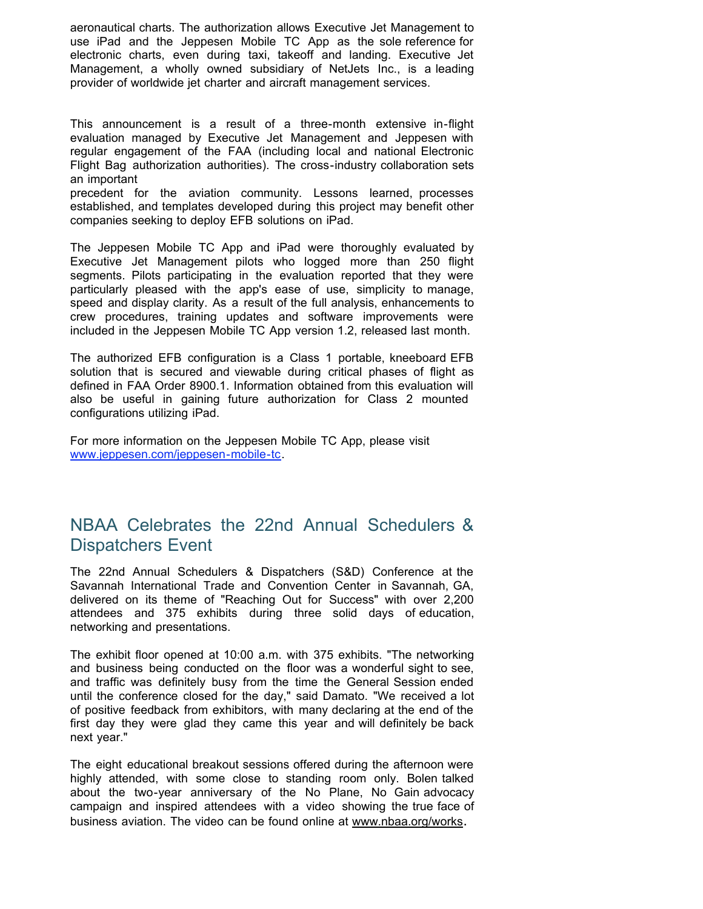aeronautical charts. The authorization allows Executive Jet Management to use iPad and the Jeppesen Mobile TC App as the sole reference for electronic charts, even during taxi, takeoff and landing. Executive Jet Management, a wholly owned subsidiary of NetJets Inc., is a leading provider of worldwide jet charter and aircraft management services.

This announcement is a result of a three-month extensive in-flight evaluation managed by Executive Jet Management and Jeppesen with regular engagement of the FAA (including local and national Electronic Flight Bag authorization authorities). The cross-industry collaboration sets an important

precedent for the aviation community. Lessons learned, processes established, and templates developed during this project may benefit other companies seeking to deploy EFB solutions on iPad.

The Jeppesen Mobile TC App and iPad were thoroughly evaluated by Executive Jet Management pilots who logged more than 250 flight segments. Pilots participating in the evaluation reported that they were particularly pleased with the app's ease of use, simplicity to manage, speed and display clarity. As a result of the full analysis, enhancements to crew procedures, training updates and software improvements were included in the Jeppesen Mobile TC App version 1.2, released last month.

The authorized EFB configuration is a Class 1 portable, kneeboard EFB solution that is secured and viewable during critical phases of flight as defined in FAA Order 8900.1. Information obtained from this evaluation will also be useful in gaining future authorization for Class 2 mounted configurations utilizing iPad.

For more information on the Jeppesen Mobile TC App, please visit [www.jeppesen.com/jeppesen-mobile-tc](http://r20.rs6.net/tn.jsp?llr=tkebgpcab&et=1104556861949&s=0&e=001enOPs0tsTpdow8ducWqM8qJKWDczB3WJTO8sTK4hga-TvZ_DMda20QMx3hfgJyxsnqO3URKrnwSY6W7E9_97q4Edcy9a7VgwtsOOhW99fhpZJ-gSQPLWLurE7-B8DC324gVyYGoeZFQ=).

# NBAA Celebrates the 22nd Annual Schedulers & Dispatchers Event

The 22nd Annual Schedulers & Dispatchers (S&D) Conference at the Savannah International Trade and Convention Center in Savannah, GA, delivered on its theme of "Reaching Out for Success" with over 2,200 attendees and 375 exhibits during three solid days of education, networking and presentations.

The exhibit floor opened at 10:00 a.m. with 375 exhibits. "The networking and business being conducted on the floor was a wonderful sight to see, and traffic was definitely busy from the time the General Session ended until the conference closed for the day," said Damato. "We received a lot of positive feedback from exhibitors, with many declaring at the end of the first day they were glad they came this year and will definitely be back next year."

The eight educational breakout sessions offered during the afternoon were highly attended, with some close to standing room only. Bolen talked about the two-year anniversary of the No Plane, No Gain advocacy campaign and inspired attendees with a video showing the true face of business aviation. The video can be found online at [www.nbaa.org/works.](http://r20.rs6.net/tn.jsp?llr=tkebgpcab&et=1104556861949&s=0&e=001enOPs0tsTpdow8ducWqM8qJKWDczB3WJTO8sTK4hga-TvZ_DMda20QMx3hfgJyxsnqO3URKrnwSY6W7E9_97q_R_lGTy0adYZp9V778LXjKBvDVcIjcB4w==)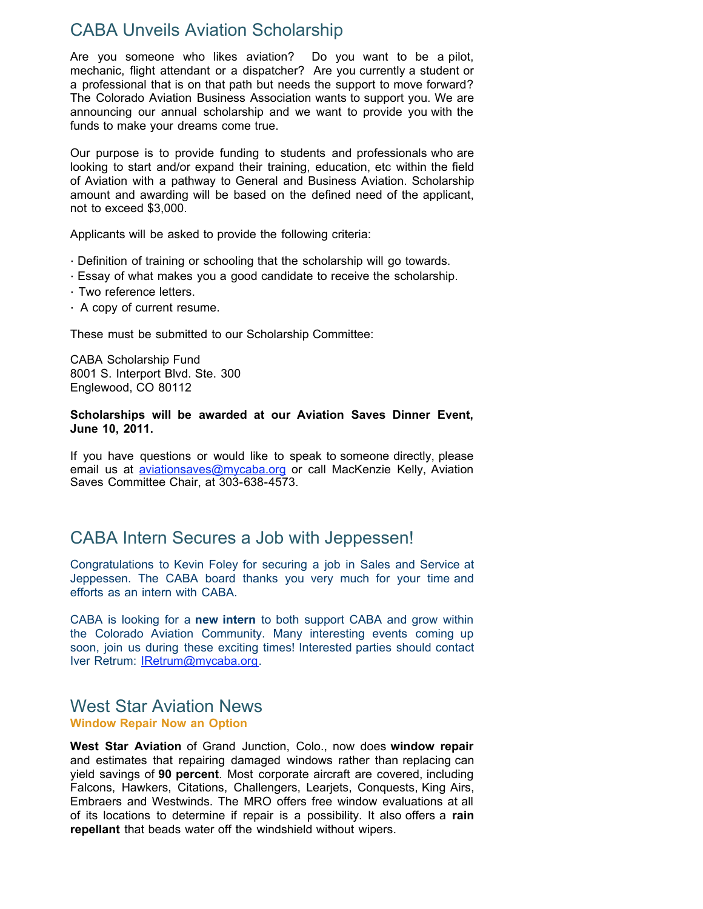## CABA Unveils Aviation Scholarship

Are you someone who likes aviation? Do you want to be a pilot, mechanic, flight attendant or a dispatcher? Are you currently a student or a professional that is on that path but needs the support to move forward? The Colorado Aviation Business Association wants to support you. We are announcing our annual scholarship and we want to provide you with the funds to make your dreams come true.

Our purpose is to provide funding to students and professionals who are looking to start and/or expand their training, education, etc within the field of Aviation with a pathway to General and Business Aviation. Scholarship amount and awarding will be based on the defined need of the applicant, not to exceed \$3,000.

Applicants will be asked to provide the following criteria:

- · Definition of training or schooling that the scholarship will go towards.
- · Essay of what makes you a good candidate to receive the scholarship.
- · Two reference letters.
- · A copy of current resume.

These must be submitted to our Scholarship Committee:

CABA Scholarship Fund 8001 S. Interport Blvd. Ste. 300 Englewood, CO 80112

#### **Scholarships will be awarded at our Aviation Saves Dinner Event, June 10, 2011.**

If you have questions or would like to speak to someone directly, please email us at *[aviationsaves@mycaba.org](mailto:aviationsaves@mycaba.org)* or call MacKenzie Kelly, Aviation Saves Committee Chair, at 303-638-4573.

## CABA Intern Secures a Job with Jeppessen!

Congratulations to Kevin Foley for securing a job in Sales and Service at Jeppessen. The CABA board thanks you very much for your time and efforts as an intern with CABA.

CABA is looking for a **new intern** to both support CABA and grow within the Colorado Aviation Community. Many interesting events coming up soon, join us during these exciting times! Interested parties should contact Iver Retrum: [IRetrum@mycaba.org](mailto:IRetrum@mycaba.org).

### West Star Aviation News **Window Repair Now an Option**

**West Star Aviation** of Grand Junction, Colo., now does **window repair** and estimates that repairing damaged windows rather than replacing can yield savings of **90 percent**. Most corporate aircraft are covered, including Falcons, Hawkers, Citations, Challengers, Learjets, Conquests, King Airs, Embraers and Westwinds. The MRO offers free window evaluations at all of its locations to determine if repair is a possibility. It also offers a **rain repellant** that beads water off the windshield without wipers.